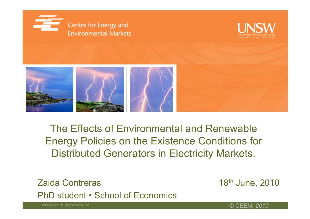





The Effects of Environmental and Renewable Energy Policies on the Existence Conditions for Distributed Generators in Electricity Markets.

Zaida Contreras <sup>18</sup>th June, 2010 PhD student • School of Economics

© CEEM, 2010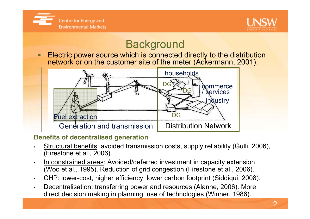



## **Background**

**Electric power source which is connected directly to the distribution**  $\blacksquare$ network or on the customer site of the meter (Ackermann, 2001).<br>————————————————————



#### Benefits of decentralised generation

- · <u>Structural benefits</u>: avoided transmission costs, supply reliability (Gulli, 2006), •(Firestone et al., 2006).
- • In constrained areas: Avoided/deferred investment in capacity extension (Woo et al., 1995). Reduction of grid congestion (Firestone et al., 2006).
- •. <u>CHP:</u> lower-cost, higher efficiency, lower carbon footprint (Siddiqui, 2008).
- • Decentralisation: transferring power and resources (Alanne, 2006). More direct decision making in planning, use of technologies (Winner, 1986).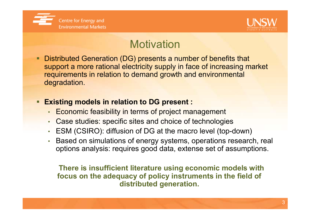



### **Motivation**

**Service Service**  Distributed Generation (DG) presents a number of benefits that support a more rational electricity supply in face of increasing market requirements in relation to demand growth and environmental degradation.

#### Existing models in relation to DG present :

- Economic feasibility in terms of project management
- •Case studies: specific sites and choice of technologies
- ESM (CSIRO): diffusion of DG at the macro level (top-down)
- • Based on simulations of energy systems, operations research, real options analysis: requires good data, extense set of assumptions.

There is insufficient literature using economic models with focus on the adequacy of policy instruments in the field of distributed generation.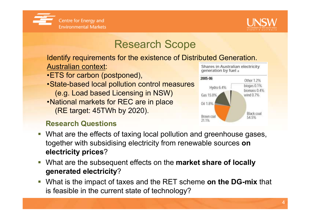



### Research Scope

 Identify requirements for the existence of Distributed Generation.Australian context: Shares in Australian electricity

- •ETS for carbon (postponed),
- •State-based local pollution control measures (e.g. Load based Licensing in NSW) •National markets for REC are in place(RE target: 45TWh by 2020).

#### Research Questions





- $\Box$  What are the effects of taxing local pollution and greenhouse gases, together with subsidising electricity from renewable sources on electricity prices?
- What are the subsequent effects on the **market share of locally** generated electricity?
- What is the impact of taxes and the RET scheme on the DG-mix that is feasible in the current state of technology?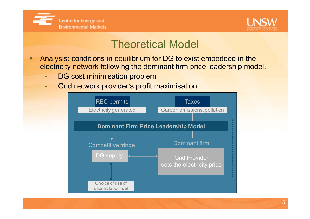



#### Theoretical Model

- $\blacksquare$  Analysis: conditions in equilibrium for DG to exist embedded in the electricity network following the dominant firm price leadership model.
	- $\mathcal{L}_{\mathcal{A}}$ DG cost minimisation problem
	- Grid network provider's profit maximisation

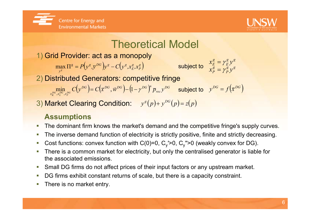



## Theoretical Model

1) Grid Provider: act as a monopoly

 $\Pi^g = P(y^g, y^{DG}) y^g - C(y^g, x_E^g, x_P^g)$  subject to  $\begin{array}{cc} x_B^g = y_P^g y^g \end{array}$ ( $\max_{y^g}\Pi^{\mathsf{g}}=P\!\!\left(\!y^g,y^{DG}\right)\!\!y^g-C\!\!\left(\!y^g,\!x^g_{E},\!x^g_{P}\right)$  $\max_{v^{\mathcal{S}}} \Pi^{\mathcal{S}} = P(y^{\mathcal{S}}, y^{\mathcal{D} \mathbf{G}})y^{\mathcal{S}} - C(y^{\mathcal{S}}, x_{E}^{\mathcal{S}}, x^{\mathcal{S}})$ 

 $\begin{array}{l} \displaystyle x_{E}^{g}=\gamma_{E}^{g}y\ x_{P}^{g}=\gamma_{P}^{g}y \end{array}$  $x_E^s = \gamma_E^s y$ γ $=\frac{\gamma}{\nu}$ =

 $\frac{g}{E} {\cal Y}^{\cal B}_{\ \ \sigma}$ 

2) Distributed Generators: competitive fringe

 $\min_{\mathbf{x}_{K}^{DG},\mathbf{x}_{L}^{DG},\mathbf{x}_{F}^{DG}} C\left(\mathbf{y}^{DG}\right)=C\left(\vec{\mathbf{x}}^{DG},\vec{w}^{DG}\right)-\left(1-\gamma^{DG}\right)^n\overline{p}_{rec}\mathbf{y}^{DG}$  subject to ( $\min_{\mathcal{E}^G,\mathbf{x}_L^{DG},\mathbf{x}_F^{DG}} C(\mathbf{y}^{DG}) = C(\mathbf{\vec{x}}^{DG},\mathbf{\vec{w}}^{DG}) - (1 - \gamma^{DG})^T \overline{p}_{rec} \mathbf{y}$  $\min_{x_{L}^{DG},x_{F}^{DG}} C(y^{DG}) = C(\vec{x}^{DG}, \vec{w}^{DG}) - (1 - \gamma)$  $\rightarrow$  $(\vec x^{DG}, \vec w^{DG})$ – $($ l – $\gamma^{DG})^n$   $\overline{p}_{rec}$ y $^{DG}$  subject to  $y^{DG} = f(\vec x^{DG})$ 

3) Market Clearing Condition:  $y^{s}(p) + y^{DG}(p) = z(p)$ 

#### Assumptions

- **The dominant firm knows the market's demand and the competitive fringe's supply curves.**  $\mathcal{L}_{\mathcal{A}}$
- П The inverse demand function of electricity is strictly positive, finite and strictly decreasing.
- $\sim$ Cost functions: convex function with C(0)=0,  $C_v$ '>0,  $C_v$ ''>0 (weakly convex for DG).
- $\mathcal{L}_{\mathcal{A}}$  There is a common market for electricity, but only the centralised generator is liable for the associated emissions.
- $\overline{\phantom{a}}$ Small DG firms do not affect prices of their input factors or any upstream market.
- П DG firms exhibit constant returns of scale, but there is a capacity constraint.
- $\mathcal{L}_{\mathcal{A}}$ There is no market entry.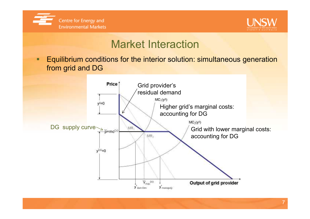



### Market Interaction

п Equilibrium conditions for the interior solution: simultaneous generation from grid and DG

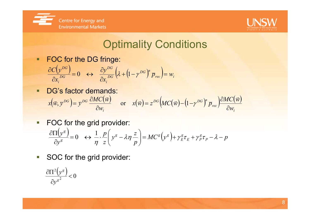



## Optimality Conditions

 $\blacksquare$ FOC for the DG fringe:

$$
\frac{\partial C(\mathbf{y}^{DG})}{\partial x_i^{DG}} = 0 \quad \leftrightarrow \quad \frac{\partial \mathbf{y}^{DG}}{\partial x_i^{DG}} \left(\lambda + \left(1 - \gamma^{DG}\right)^n \overline{p}_{rec}\right) = w_i
$$

- п DG's factor demands: () $\begin{pmatrix} \vec{w} \end{pmatrix}$  or  $x(\vec{w}) = z^{DG} \Big( MC(\vec{w}) - \Big(1 - \gamma^{DG}\Big)^n \overline{P}_{rec}$ ()) $(x, y^{DG}) = y^{DG} \frac{\partial MC(\vec{w})}{\partial x}$  or  $x(\vec{w}) = z^{DG} \Big(MC(\vec{w}) - (1 - y^{DG})^n P_{rec}\Big) \frac{\partial MC(\vec{w})}{\partial x}$  $\overline{U}$  is the set of  $\overline{U}$  is the set of  $\overline{U}$  is the set of  $\overline{U}$  is the set of  $\overline{U}$  is the set of  $\overline{U}$  is the set of  $\overline{U}$  is the set of  $\overline{U}$  is the set of  $\overline{U}$  is the set of  $\overline{U}$  is th rec  $^{DG}$   $MC(\vec{w})$  -  $(1-\gamma^{DG})^n$ i $\left\lfloor \frac{DG}{V}\right\rfloor =\overline{V}^{DG}$ w $MC$ w $x(w) = z$   $\left\{M\cup\{W\} - \left(1-\gamma\right)\right\}$   $p_{\text{rec}}$ w $z^{DG}$ (MC wor  $x(w) = z$   $(MC(w) - (1 - \gamma)) p$  $MC$ w $x(w, y) = y$  ${\mathcal W}$  $y = y$   $\frac{\partial w}{\partial w}$  or  $x(w) = z$   $(MC(w) - (1 - y)) p_{rec}$ ∂ $\equiv$   $\frac{z}{z}$   $\frac{|W(\cdot|W)-1|}{|W|}$   $\equiv$   $\frac{w}{|W|}$  $\partial w$ .  $\partial w$ ∂ $=$   $V$  - $\overline{w}$ ) =  $z^{DG}$ (MC( $\overline{w}$ ) - (1 -  $\nu^{DG}$ )<sup>n</sup>  $\overline{p}$  =  $\overline{QMC}$ ( $\overline{w}$ )  $(\vec{w}, \vec{y}^{DG}) = \vec{y}^{DG} \frac{\partial MC(\vec{w})}{\partial w}$  or  $x(\vec{w}) = z^{DG} (MC(\vec{w}) - (1 - \gamma))$
- $\overline{\mathbb{D}}$ FOC for the grid provider:

$$
\frac{\partial \Pi(y^g)}{\partial y^g} = 0 \quad \leftrightarrow \quad \frac{1}{\eta} \cdot \frac{p}{z} \left( y^g - \lambda \eta \frac{z}{p} \right) = MC^g \left( y^g \right) + \gamma^g_E \tau_E + \gamma^g_P \tau_P - \lambda - p
$$

 $\overline{\phantom{a}}$ SOC for the grid provider:

$$
\frac{\partial \Pi^2 (y^s)}{\partial y^{s^2}} < 0
$$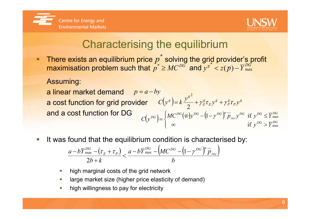



## Characterising the equilibrium

There exists an equilibrium price  $p$  solving the grid provider's profit maximisation problem such that  $p^*\geq M C^{DG}$  $p^* \geq MC^{DG}$  and  $y^{g^*} < z(p) - \overline{Y}_{\text{max}}^{DG}$  max \*  $\geq MC^{DG}$  and  $y^{g^*} < z(p)$ \* $P_*^{\phantom *}$ 

Assuming:

a linear market demand<mark>a cost function for grid provider</mark> and a cost function for DGp = $\it a$  $-by$  $(y^g) = k \frac{y^g}{2} + \gamma_E^g \tau_E y^g + \gamma_P^g \tau_P y^g$  $\frac{g}{P}$  $E{\cal Y}^g$ g E  $\left(\frac{g}{g}\right) = k \frac{y^{g}}{2} + \gamma_{E}^{g} \tau_{E} y^{g} + \gamma_{P}^{g} \tau_{P} y^{g}$  $C(y^s) = k \frac{y}{y}$ =k+ $+ \gamma$ τ+ $+\gamma$ τ2  $\sqrt{E}$   $\approx$   $\sqrt{1}$  $\left(y^{DG}\right) = \begin{cases} M C^{DG}(\vec{w}) y^{DG} - \left(1-\gamma^{DG}\right)^n \overline{p}_{rec} y^{DG} & \text{if}\ \infty & \text{if}\end{cases}$ 2 max $\begin{cases} mc & (wy)y \\ \infty & (1 / y) \end{cases}$   $\begin{cases} P_{rec}y & \text{if } y \leq T \text{ max} \\ \text{if } y^{DG} \leq \overline{Y}_{eq}^{DG} \end{cases}$  $\overline{\phantom{a}}$  $\int$  $\infty$  and  $\infty$  if  $v^{\infty}$  > −−≤ $=\left\{$   $\left( \begin{array}{ccc} 0 & 0 & 0 \\ 0 & 0 & 0 \\ 0 & 0 & 0 \end{array} \right)$   $\left( \begin{array}{ccc} 0 & 0 & 0 \\ 0 & 0 & 0 \\ 0 & 0 & 0 \end{array} \right)$  $\log \frac{1}{\sqrt{1-\frac{v^{DG}}{1-\frac{v^{DG}}{1-\frac{v^{DG}}{1-\frac{v^{DG}}{1-\frac{v^{DG}}{1-\frac{v^{AG}}{1-\frac{v^{AG}}{1-\frac{v^{AG}}{1-\frac{v^{AG}}{1-\frac{v^{AG}}{1-\frac{v^{AG}}{1-\frac{v^{AG}}{1-\frac{v^{AG}}{1-\frac{v^{AG}}{1-\frac{v^{AG}}{1-\frac{v^{AG}}{1-\frac{v^{AG}}{1-\frac{v^{AG}}{1-\frac{v^{AG}}{1-\frac{v^{AG}}{1-\frac{v^{AG}}{1-\frac{v^{AG}}{1-\frac{v^{AG}}{1-\frac$  $\int_{rec} y^{DG}$  if  $y^{DG} \leq \overline{Y}_{\text{max}}^{DG}$  $\left( \rho_{DG} \right) = \int M C^{DG} (\vec{w}) y^{DG} - \left( 1 - \gamma^{DG} \right)^n$  $y^{\nu}$ <sup> $\vee$ </sup>  $>$   $Y$  $MC$ w $y = (1 - \gamma) p_{rec} y$  if y Y $C[\gamma^{D\sigma}] = \left\{ \begin{array}{ccc} P & P & P \end{array} \right\}$  $\mathcal{Y}$  $\gamma$ u

erial<br>Ma It was found that the equilibrium condition is characterised by:

$$
\frac{a-b\overline{Y}_{\text{max}}^{DG} - \left(\tau_{E} + \tau_{P}\right)}{2b+k} < \frac{a-b\overline{Y}_{\text{max}}^{DG} - \left(MC^{DG} - \left(1-\gamma^{DG}\right)^{n} \overline{p}_{rec}\right)}{b}
$$

- ×. high marginal costs of the grid network
- П large market size (higher price elasticity of demand)
- T. high willingness to pay for electricity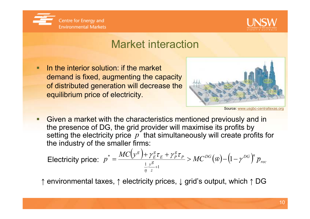



### Market interaction

 In the interior solution: if the market demand is fixed, augmenting the capacity of distributed generation will decrease the equilibrium price of electricity.



Source: www.usgbc-centraltexas.org

the presence of DG, the grid provider will maximise its profits by setting the electricity price  $\ p^{\degree}$  that simultaneously will create profits for the industry of the smaller firms:**Service Service** Given a market with the characteristics mentioned previously and in

$$
\text{Electricity price:} \ \ p^* = \frac{MC\left(y^g\right) + \gamma_E^g \tau_E + \gamma_P^g \tau_P}{\frac{1}{\eta} \cdot \frac{y^g}{z} + 1} > MC^{DG}(\vec{w}) - \left(1 - \gamma^{DG}\right)^n \vec{p}_{rec}
$$

<sup>↑</sup> environmental taxes, ↑ electricity prices, ↓ grid's output, which ↑ DG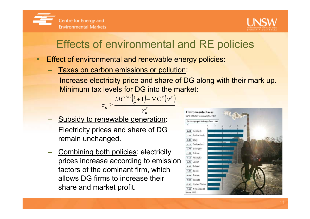



## Effects of environmental and RE policies

the contract of the contract of the contract of the contract of the contract of the contract of the contract of

 $\frac{G(1+1)-MC^{g}(v^{g})}{2}$ 

−

 $1 - MC$ 

gE

γ

Effect of environmental and renewable energy policies:

DG

<u>> ———————————</u>

 $\tau_{\rm r} \geq \frac{MC}{\eta} \frac{\left(\frac{1}{\eta} + 1\right) - MC^{\circ}(y)}{2\eta}$ 

 $^{1}_{-}$  +

Taxes on carbon emissions or pollution:

 $MC$ 

Increase electricity price and share of DG along with their mark up. Minimum tax levels for DG into the market:()

(

)

 $\mathcal{L}_{\mathcal{A}}$ - Subsidy to renewable generation: Electricity prices and share of DG remain unchanged.

E

 $\mathcal{L}_{\mathcal{A}}$  , and the set of the set of the set of the set of the set of the set of the set of the set of the set of the set of the set of the set of the set of the set of the set of the set of the set of the set of th Combining both policies: electricity prices increase according to emission factors of the dominant firm, which allows DG firms to increase their share and market profit.

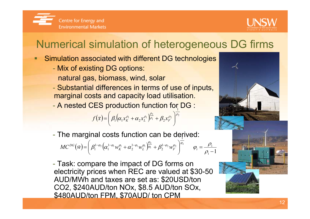



## Numerical simulation of heterogeneous DG firms

- П **Simulation associated with different DG technologies** 
	- Mix of existing DG options:
		- natural gas, biomass, wind, solar
	- Substantial differences in terms of use of inputs, marginal costs and capacity load utilisation.
	- A nested CES production function for DG :

$$
f(\vec{x}) = \left(\beta_1 \left(\alpha_1 x_K^{\rho_1} + \alpha_2 x_L^{\rho_1}\right)^{\frac{\rho_2}{\rho_1}} + \beta_2 x_F^{\rho_2}\right)^{\frac{\rho_2}{\rho_2}}
$$

The marginal costs function can be derived: 1

$$
MC^{DG}(\vec{w}) = \left(\beta_1^{1-\varphi_2} \left(\alpha_1^{1-\varphi_1} w_K^{\varphi_1} + \alpha_2^{1-\varphi_1} w_L^{\varphi_1}\right)^{\frac{\varphi_2}{\varphi_1}} + \beta_2^{1-\varphi_2} w_F^{\varphi_2}\right)^{\frac{\varphi_2}{\varphi_2}} \qquad \varphi_i = \frac{\rho_i}{\rho_i - 1}
$$

- Task: compare the impact of DG forms on electricity prices when REC are valued at \$30-50 AUD/MWh and taxes are set as: \$20USD/ton CO2, \$240AUD/ton NOx, \$8.5 AUD/ton SOx, \$480AUD/ton FPM, \$70AUD/ ton CPM

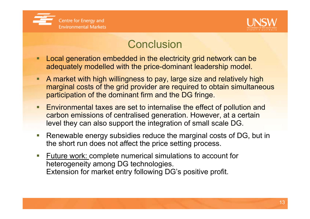



#### **Conclusion**

- **Service Service**  Local generation embedded in the electricity grid network can beadequately modelled with the price-dominant leadership model.
- **Service Service**  A market with high willingness to pay, large size and relatively high marginal costs of the grid provider are required to obtain simultaneous participation of the dominant firm and the DG fringe.
- **Service Service**  Environmental taxes are set to internalise the effect of pollution and carbon emissions of centralised generation. However, at a certain level they can also support the integration of small scale DG.
- **Service Service**  Renewable energy subsidies reduce the marginal costs of DG, but in the short run does not affect the price setting process.
- **Service Service Future work: complete numerical simulations to account for** heterogeneity among DG technologies. Extension for market entry following DG's positive profit.